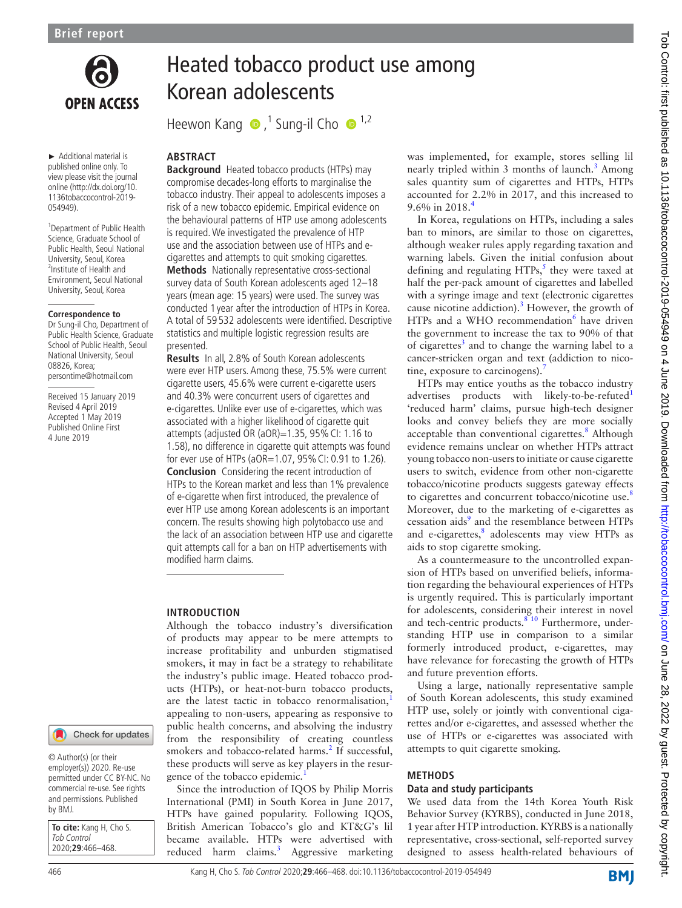

► Additional material is published online only. To view please visit the journal online [\(http://dx.doi.org/10.](http://dx.doi.org/10.1136tobaccocontrol-2019-054949) [1136tobaccocontrol-2019-](http://dx.doi.org/10.1136tobaccocontrol-2019-054949) [054949\)](http://dx.doi.org/10.1136tobaccocontrol-2019-054949).

1 Department of Public Health Science, Graduate School of Public Health, Seoul National University, Seoul, Korea <sup>2</sup>Institute of Health and Environment, Seoul National University, Seoul, Korea

#### **Correspondence to**

Dr Sung-il Cho, Department of Public Health Science, Graduate School of Public Health, Seoul National University, Seoul 08826, Korea; persontime@hotmail.com

Received 15 January 2019 Revised 4 April 2019 Accepted 1 May 2019 Published Online First 4 June 2019

# Heated tobacco product use among Korean adolescents

Heewon Kang **■**,<sup>1</sup> Sung-il Cho 
■<sup>1,2</sup>

# **Abstract**

**Background** Heated tobacco products (HTPs) may compromise decades-long efforts to marginalise the tobacco industry. Their appeal to adolescents imposes a risk of a new tobacco epidemic. Empirical evidence on the behavioural patterns of HTP use among adolescents is required. We investigated the prevalence of HTP use and the association between use of HTPs and ecigarettes and attempts to quit smoking cigarettes. **Methods** Nationally representative cross-sectional survey data of South Korean adolescents aged 12–18 years (mean age: 15 years) were used. The survey was conducted 1 year after the introduction of HTPs in Korea. A total of 59 532 adolescents were identified. Descriptive statistics and multiple logistic regression results are presented.

**Results** In all, 2.8% of South Korean adolescents were ever HTP users. Among these, 75.5% were current cigarette users, 45.6% were current e-cigarette users and 40.3% were concurrent users of cigarettes and e-cigarettes. Unlike ever use of e-cigarettes, which was associated with a higher likelihood of cigarette quit attempts (adjusted OR (aOR)=1.35, 95%CI: 1.16 to 1.58), no difference in cigarette quit attempts was found for ever use of HTPs (aOR=1.07, 95%CI: 0.91 to 1.26). **Conclusion** Considering the recent introduction of HTPs to the Korean market and less than 1% prevalence of e-cigarette when first introduced, the prevalence of ever HTP use among Korean adolescents is an important concern. The results showing high polytobacco use and the lack of an association between HTP use and cigarette quit attempts call for a ban on HTP advertisements with

# **Introduction**

modified harm claims.

Although the tobacco industry's diversification of products may appear to be mere attempts to increase profitability and unburden stigmatised smokers, it may in fact be a strategy to rehabilitate the industry's public image. Heated tobacco products (HTPs), or heat-not-burn tobacco products, are the latest tactic in tobacco renormalisation, appealing to non-users, appearing as responsive to public health concerns, and absolving the industry from the responsibility of creating countless smokers and tobacco-related harms.<sup>[2](#page-2-1)</sup> If successful, these products will serve as key players in the resurgence of the tobacco epidemic.

Since the introduction of IQOS by Philip Morris International (PMI) in South Korea in June 2017, HTPs have gained popularity. Following IQOS, British American Tobacco's glo and KT&G's lil became available. HTPs were advertised with reduced harm claims.<sup>[3](#page-2-2)</sup> Aggressive marketing

was implemented, for example, stores selling lil nearly tripled within [3](#page-2-2) months of launch.<sup>3</sup> Among sales quantity sum of cigarettes and HTPs, HTPs accounted for 2.2% in 2017, and this increased to 9.6% in 2018.[4](#page-2-3)

In Korea, regulations on HTPs, including a sales ban to minors, are similar to those on cigarettes, although weaker rules apply regarding taxation and warning labels. Given the initial confusion about defining and regulating HTPs, $<sup>5</sup>$  $<sup>5</sup>$  $<sup>5</sup>$  they were taxed at</sup> half the per-pack amount of cigarettes and labelled with a syringe image and text (electronic cigarettes cause nicotine addiction). $3$  However, the growth of HTPs and a WHO recommendation<sup>[6](#page-2-5)</sup> have driven the government to increase the tax to 90% of that of cigarettes<sup>[3](#page-2-2)</sup> and to change the warning label to a cancer-stricken organ and text (addiction to nicotine, exposure to carcinogens).

HTPs may entice youths as the tobacco industry advertises products with likely-to-be-refuted<sup>[1](#page-2-0)</sup> 'reduced harm' claims, pursue high-tech designer looks and convey beliefs they are more socially acceptable than conventional cigarettes.<sup>[8](#page-2-7)</sup> Although evidence remains unclear on whether HTPs attract young tobacco non-users to initiate or cause cigarette users to switch, evidence from other non-cigarette tobacco/nicotine products suggests gateway effects to cigarettes and concurrent tobacco/nicotine use.<sup>[8](#page-2-7)</sup> Moreover, due to the marketing of e-cigarettes as cessation aids<sup>9</sup> and the resemblance between HTPs and e-cigarettes,<sup>8</sup> adolescents may view HTPs as aids to stop cigarette smoking.

As a countermeasure to the uncontrolled expansion of HTPs based on unverified beliefs, information regarding the behavioural experiences of HTPs is urgently required. This is particularly important for adolescents, considering their interest in novel and tech-centric products. $810$  Furthermore, understanding HTP use in comparison to a similar formerly introduced product, e-cigarettes, may have relevance for forecasting the growth of HTPs and future prevention efforts.

Using a large, nationally representative sample of South Korean adolescents, this study examined HTP use, solely or jointly with conventional cigarettes and/or e-cigarettes, and assessed whether the use of HTPs or e-cigarettes was associated with attempts to quit cigarette smoking.

## **Methods**

# **Data and study participants**

We used data from the 14th Korea Youth Risk Behavior Survey (KYRBS), conducted in June 2018, 1 year after HTP introduction. KYRBS is a nationally representative, cross-sectional, self-reported survey designed to assess health-related behaviours of

**BMI** 

by BMJ.

**To cite:** Kang H, Cho S. Tob Control 2020;**29**:466–468.

© Author(s) (or their employer(s)) 2020. Re-use permitted under CC BY-NC. No commercial re-use. See rights and permissions. Published

Check for updates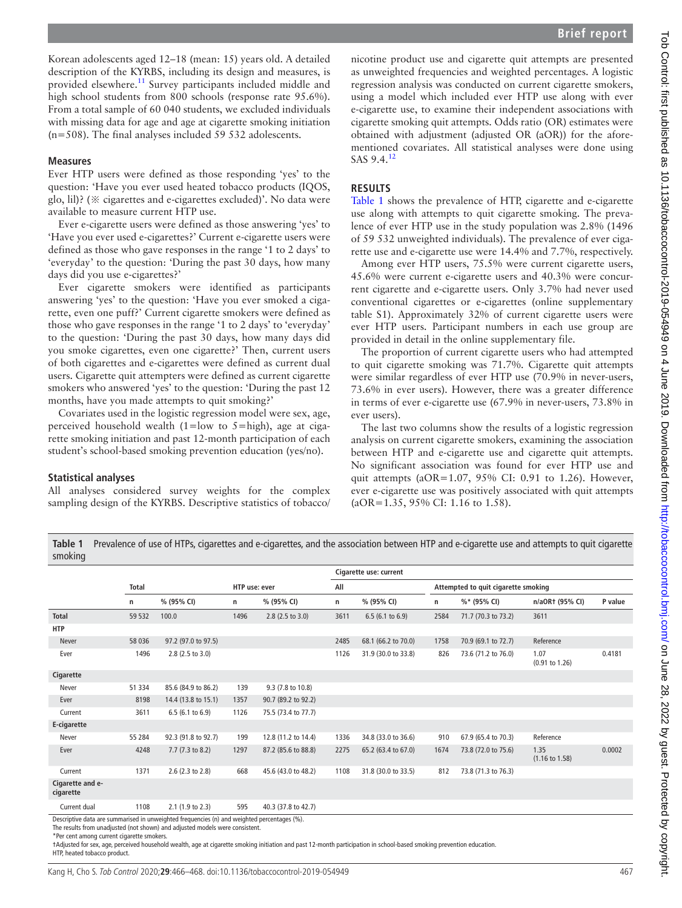Korean adolescents aged 12–18 (mean: 15) years old. A detailed description of the KYRBS, including its design and measures, is provided elsewhere.<sup>11</sup> Survey participants included middle and high school students from 800 schools (response rate 95.6%). From a total sample of 60 040 students, we excluded individuals with missing data for age and age at cigarette smoking initiation (n=508). The final analyses included 59 532 adolescents.

#### **Measures**

Ever HTP users were defined as those responding 'yes' to the question: 'Have you ever used heated tobacco products (IQOS, glo, lil)? (※ cigarettes and e-cigarettes excluded)'. No data were available to measure current HTP use.

Ever e-cigarette users were defined as those answering 'yes' to 'Have you ever used e-cigarettes?' Current e-cigarette users were defined as those who gave responses in the range '1 to 2 days' to 'everyday' to the question: 'During the past 30 days, how many days did you use e-cigarettes?'

Ever cigarette smokers were identified as participants answering 'yes' to the question: 'Have you ever smoked a cigarette, even one puff?' Current cigarette smokers were defined as those who gave responses in the range '1 to 2 days' to 'everyday' to the question: 'During the past 30 days, how many days did you smoke cigarettes, even one cigarette?' Then, current users of both cigarettes and e-cigarettes were defined as current dual users. Cigarette quit attempters were defined as current cigarette smokers who answered 'yes' to the question: 'During the past 12 months, have you made attempts to quit smoking?'

Covariates used in the logistic regression model were sex, age, perceived household wealth  $(1=$ low to  $5=$ high), age at cigarette smoking initiation and past 12-month participation of each student's school-based smoking prevention education (yes/no).

#### **Statistical analyses**

All analyses considered survey weights for the complex sampling design of the KYRBS. Descriptive statistics of tobacco/

nicotine product use and cigarette quit attempts are presented as unweighted frequencies and weighted percentages. A logistic regression analysis was conducted on current cigarette smokers, using a model which included ever HTP use along with ever e-cigarette use, to examine their independent associations with cigarette smoking quit attempts. Odds ratio (OR) estimates were obtained with adjustment (adjusted OR (aOR)) for the aforementioned covariates. All statistical analyses were done using SAS  $9.4.^{12}$ 

## **Results**

[Table](#page-1-0) 1 shows the prevalence of HTP, cigarette and e-cigarette use along with attempts to quit cigarette smoking. The prevalence of ever HTP use in the study population was 2.8% (1496 of 59 532 unweighted individuals). The prevalence of ever cigarette use and e-cigarette use were 14.4% and 7.7%, respectively.

Among ever HTP users, 75.5% were current cigarette users, 45.6% were current e-cigarette users and 40.3% were concurrent cigarette and e-cigarette users. Only 3.7% had never used conventional cigarettes or e-cigarettes (online supplementary [table S1\)](https://dx.doi.org/10.1136/tobaccocontrol-2019-054949). Approximately 32% of current cigarette users were ever HTP users. Participant numbers in each use group are provided in detail in the [online supplementary file](https://dx.doi.org/10.1136/tobaccocontrol-2019-054949).

The proportion of current cigarette users who had attempted to quit cigarette smoking was 71.7%. Cigarette quit attempts were similar regardless of ever HTP use (70.9% in never-users, 73.6% in ever users). However, there was a greater difference in terms of ever e-cigarette use (67.9% in never-users, 73.8% in ever users).

The last two columns show the results of a logistic regression analysis on current cigarette smokers, examining the association between HTP and e-cigarette use and cigarette quit attempts. No significant association was found for ever HTP use and quit attempts (aOR=1.07, 95% CI: 0.91 to 1.26). However, ever e-cigarette use was positively associated with quit attempts (aOR=1.35, 95% CI: 1.16 to 1.58).

<span id="page-1-0"></span>**Table 1** Prevalence of use of HTPs, cigarettes and e-cigarettes, and the association between HTP and e-cigarette use and attempts to quit cigarette smoking

|                               |              |                            |               |                            |      | Cigarette use: current     |      |                                     |                                   |         |  |
|-------------------------------|--------------|----------------------------|---------------|----------------------------|------|----------------------------|------|-------------------------------------|-----------------------------------|---------|--|
|                               | <b>Total</b> |                            | HTP use: ever |                            | All  |                            |      | Attempted to quit cigarette smoking |                                   |         |  |
|                               | n            | % (95% CI)                 | n             | % (95% CI)                 | n    | % (95% CI)                 | n    | $%$ * (95% CI)                      | n/aOR† (95% CI)                   | P value |  |
| <b>Total</b>                  | 59 532       | 100.0                      | 1496          | $2.8(2.5 \text{ to } 3.0)$ | 3611 | $6.5(6.1 \text{ to } 6.9)$ | 2584 | 71.7 (70.3 to 73.2)                 | 3611                              |         |  |
| <b>HTP</b>                    |              |                            |               |                            |      |                            |      |                                     |                                   |         |  |
| Never                         | 58 036       | 97.2 (97.0 to 97.5)        |               |                            | 2485 | 68.1 (66.2 to 70.0)        | 1758 | 70.9 (69.1 to 72.7)                 | Reference                         |         |  |
| Ever                          | 1496         | 2.8 (2.5 to 3.0)           |               |                            | 1126 | 31.9 (30.0 to 33.8)        | 826  | 73.6 (71.2 to 76.0)                 | 1.07<br>$(0.91$ to $1.26)$        | 0.4181  |  |
| Cigarette                     |              |                            |               |                            |      |                            |      |                                     |                                   |         |  |
| Never                         | 51 334       | 85.6 (84.9 to 86.2)        | 139           | 9.3 (7.8 to 10.8)          |      |                            |      |                                     |                                   |         |  |
| Ever                          | 8198         | 14.4 (13.8 to 15.1)        | 1357          | 90.7 (89.2 to 92.2)        |      |                            |      |                                     |                                   |         |  |
| Current                       | 3611         | $6.5(6.1 \text{ to } 6.9)$ | 1126          | 75.5 (73.4 to 77.7)        |      |                            |      |                                     |                                   |         |  |
| E-cigarette                   |              |                            |               |                            |      |                            |      |                                     |                                   |         |  |
| Never                         | 55 284       | 92.3 (91.8 to 92.7)        | 199           | 12.8 (11.2 to 14.4)        | 1336 | 34.8 (33.0 to 36.6)        | 910  | 67.9 (65.4 to 70.3)                 | Reference                         |         |  |
| Ever                          | 4248         | $7.7(7.3 \text{ to } 8.2)$ | 1297          | 87.2 (85.6 to 88.8)        | 2275 | 65.2 (63.4 to 67.0)        | 1674 | 73.8 (72.0 to 75.6)                 | 1.35<br>$(1.16 \text{ to } 1.58)$ | 0.0002  |  |
| Current                       | 1371         | 2.6 (2.3 to 2.8)           | 668           | 45.6 (43.0 to 48.2)        | 1108 | 31.8 (30.0 to 33.5)        | 812  | 73.8 (71.3 to 76.3)                 |                                   |         |  |
| Cigarette and e-<br>cigarette |              |                            |               |                            |      |                            |      |                                     |                                   |         |  |
| Current dual                  | 1108         | 2.1 (1.9 to 2.3)           | 595           | 40.3 (37.8 to 42.7)        |      |                            |      |                                     |                                   |         |  |

Descriptive data are summarised in unweighted frequencies (n) and weighted percentages (%).

The results from unadjusted (not shown) and adjusted models were consistent.

\*Per cent among current cigarette smokers.

†Adjusted for sex, age, perceived household wealth, age at cigarette smoking initiation and past 12-month participation in school-based smoking prevention education. HTP, heated tobacco product.